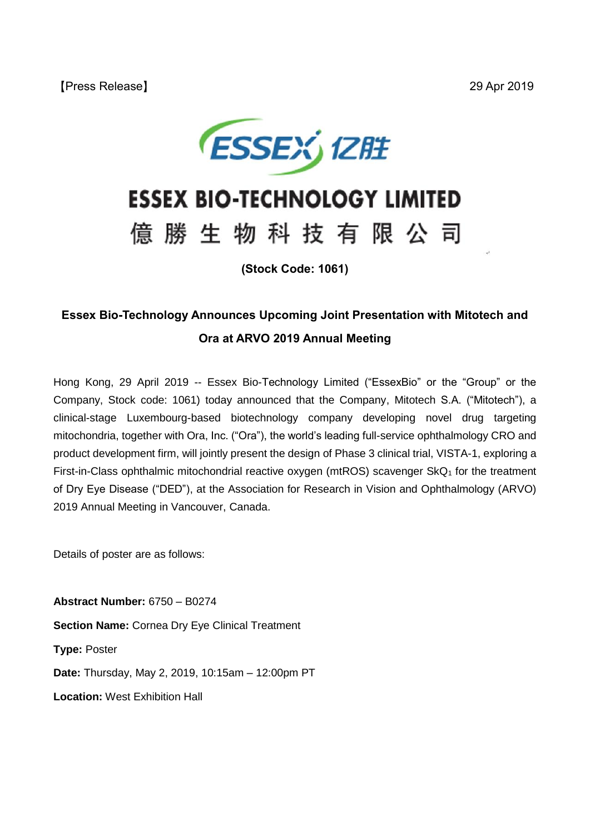

## **ESSEX BIO-TECHNOLOGY LIMITED**

# 億 勝 生 物 科 技 有 限 公 司

**(Stock Code: 1061)**

### **Essex Bio-Technology Announces Upcoming Joint Presentation with Mitotech and Ora at ARVO 2019 Annual Meeting**

Hong Kong, 29 April 2019 -- Essex Bio-Technology Limited ("EssexBio" or the "Group" or the Company, Stock code: 1061) today announced that the Company, Mitotech S.A. ("Mitotech"), a clinical-stage Luxembourg-based biotechnology company developing novel drug targeting mitochondria, together with Ora, Inc. ("Ora"), the world's leading full-service ophthalmology CRO and product development firm, will jointly present the design of Phase 3 clinical trial, VISTA-1, exploring a First-in-Class ophthalmic mitochondrial reactive oxygen (mtROS) scavenger  $SkQ<sub>1</sub>$  for the treatment of Dry Eye Disease ("DED"), at the Association for Research in Vision and Ophthalmology (ARVO) 2019 Annual Meeting in Vancouver, Canada.

Details of poster are as follows:

**Abstract Number:** 6750 – B0274 **Section Name: Cornea Dry Eye Clinical Treatment Type:** Poster **Date:** Thursday, May 2, 2019, 10:15am – 12:00pm PT **Location:** West Exhibition Hall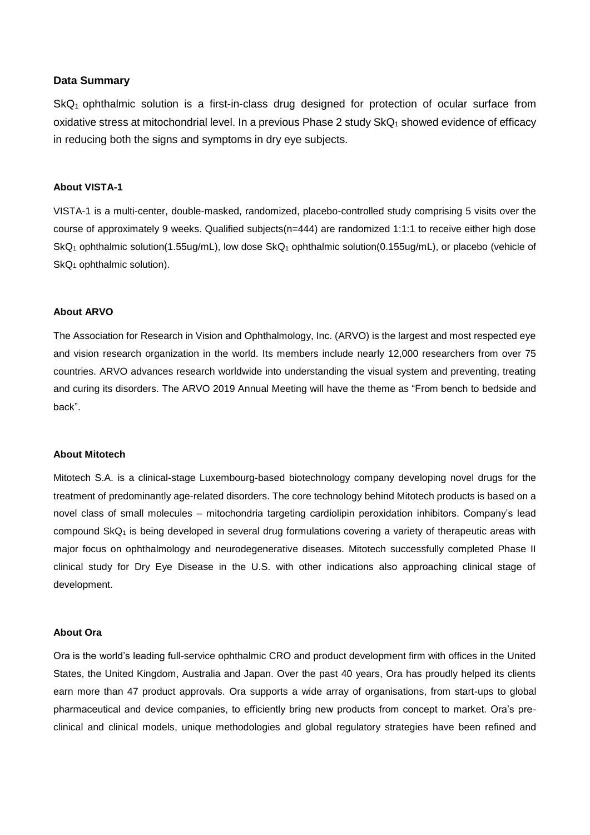#### **Data Summary**

 $SkQ<sub>1</sub>$  ophthalmic solution is a first-in-class drug designed for protection of ocular surface from oxidative stress at mitochondrial level. In a previous Phase 2 study  $SKQ<sub>1</sub>$  showed evidence of efficacy in reducing both the signs and symptoms in dry eye subjects.

#### **About VISTA-1**

VISTA-1 is a multi-center, double-masked, randomized, placebo-controlled study comprising 5 visits over the course of approximately 9 weeks. Qualified subjects(n=444) are randomized 1:1:1 to receive either high dose SkQ<sub>1</sub> ophthalmic solution(1.55ug/mL), low dose SkQ<sub>1</sub> ophthalmic solution(0.155ug/mL), or placebo (vehicle of  $SkQ_1$  ophthalmic solution).

#### **About ARVO**

The Association for Research in Vision and Ophthalmology, Inc. (ARVO) is the largest and most respected eye and vision research organization in the world. Its members include nearly 12,000 researchers from over 75 countries. ARVO advances research worldwide into understanding the visual system and preventing, treating and curing its disorders. The ARVO 2019 Annual Meeting will have the theme as "From bench to bedside and back".

#### **About Mitotech**

Mitotech S.A. is a clinical-stage Luxembourg-based biotechnology company developing novel drugs for the treatment of predominantly age-related disorders. The core technology behind Mitotech products is based on a novel class of small molecules – mitochondria targeting cardiolipin peroxidation inhibitors. Company's lead compound SkQ<sub>1</sub> is being developed in several drug formulations covering a variety of therapeutic areas with major focus on ophthalmology and neurodegenerative diseases. Mitotech successfully completed Phase II clinical study for Dry Eye Disease in the U.S. with other indications also approaching clinical stage of development.

#### **About Ora**

Ora is the world's leading full-service ophthalmic CRO and product development firm with offices in the United States, the United Kingdom, Australia and Japan. Over the past 40 years, Ora has proudly helped its clients earn more than 47 product approvals. Ora supports a wide array of organisations, from start-ups to global pharmaceutical and device companies, to efficiently bring new products from concept to market. Ora's preclinical and clinical models, unique methodologies and global regulatory strategies have been refined and